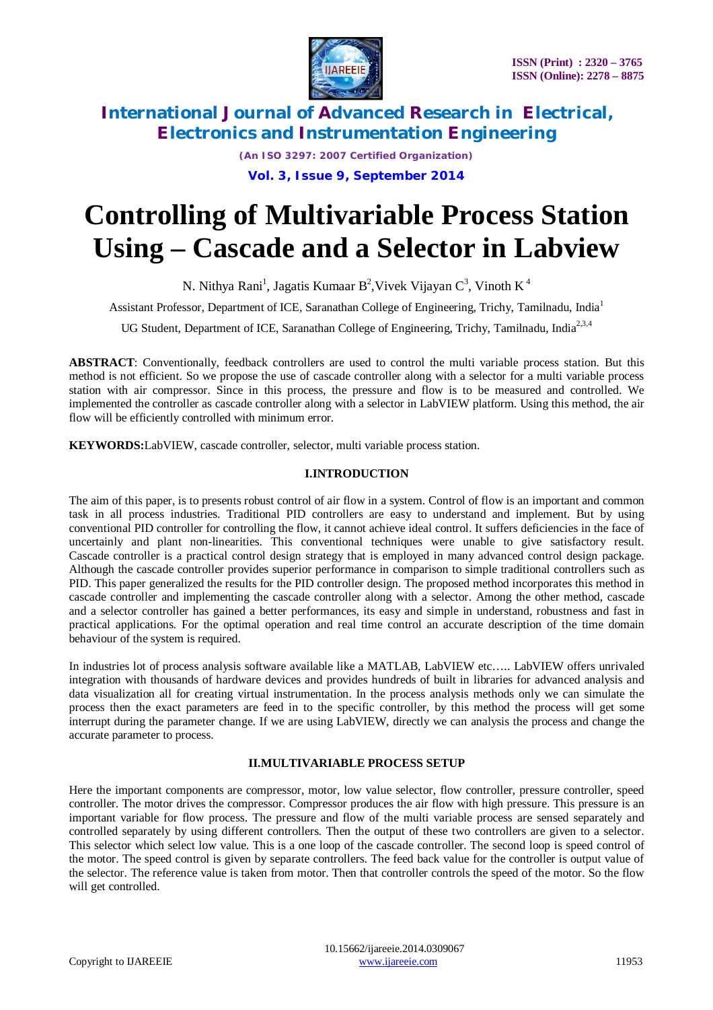

*(An ISO 3297: 2007 Certified Organization)* **Vol. 3, Issue 9, September 2014**

# **Controlling of Multivariable Process Station Using – Cascade and a Selector in Labview**

N. Nithya Rani<sup>1</sup>, Jagatis Kumaar B<sup>2</sup>, Vivek Vijayan C<sup>3</sup>, Vinoth K<sup>4</sup>

Assistant Professor, Department of ICE, Saranathan College of Engineering, Trichy, Tamilnadu, India<sup>1</sup>

UG Student, Department of ICE, Saranathan College of Engineering, Trichy, Tamilnadu, India<sup>2,3,4</sup>

**ABSTRACT**: Conventionally, feedback controllers are used to control the multi variable process station. But this method is not efficient. So we propose the use of cascade controller along with a selector for a multi variable process station with air compressor. Since in this process, the pressure and flow is to be measured and controlled. We implemented the controller as cascade controller along with a selector in LabVIEW platform. Using this method, the air flow will be efficiently controlled with minimum error.

**KEYWORDS:**LabVIEW, cascade controller, selector, multi variable process station.

# **I.INTRODUCTION**

The aim of this paper, is to presents robust control of air flow in a system. Control of flow is an important and common task in all process industries. Traditional PID controllers are easy to understand and implement. But by using conventional PID controller for controlling the flow, it cannot achieve ideal control. It suffers deficiencies in the face of uncertainly and plant non-linearities. This conventional techniques were unable to give satisfactory result. Cascade controller is a practical control design strategy that is employed in many advanced control design package. Although the cascade controller provides superior performance in comparison to simple traditional controllers such as PID. This paper generalized the results for the PID controller design. The proposed method incorporates this method in cascade controller and implementing the cascade controller along with a selector. Among the other method, cascade and a selector controller has gained a better performances, its easy and simple in understand, robustness and fast in practical applications. For the optimal operation and real time control an accurate description of the time domain behaviour of the system is required.

In industries lot of process analysis software available like a MATLAB, LabVIEW etc….. LabVIEW offers unrivaled integration with thousands of hardware devices and provides hundreds of built in libraries for advanced analysis and data visualization all for creating virtual instrumentation. In the process analysis methods only we can simulate the process then the exact parameters are feed in to the specific controller, by this method the process will get some interrupt during the parameter change. If we are using LabVIEW, directly we can analysis the process and change the accurate parameter to process.

# **II.MULTIVARIABLE PROCESS SETUP**

Here the important components are compressor, motor, low value selector, flow controller, pressure controller, speed controller. The motor drives the compressor. Compressor produces the air flow with high pressure. This pressure is an important variable for flow process. The pressure and flow of the multi variable process are sensed separately and controlled separately by using different controllers. Then the output of these two controllers are given to a selector. This selector which select low value. This is a one loop of the cascade controller. The second loop is speed control of the motor. The speed control is given by separate controllers. The feed back value for the controller is output value of the selector. The reference value is taken from motor. Then that controller controls the speed of the motor. So the flow will get controlled.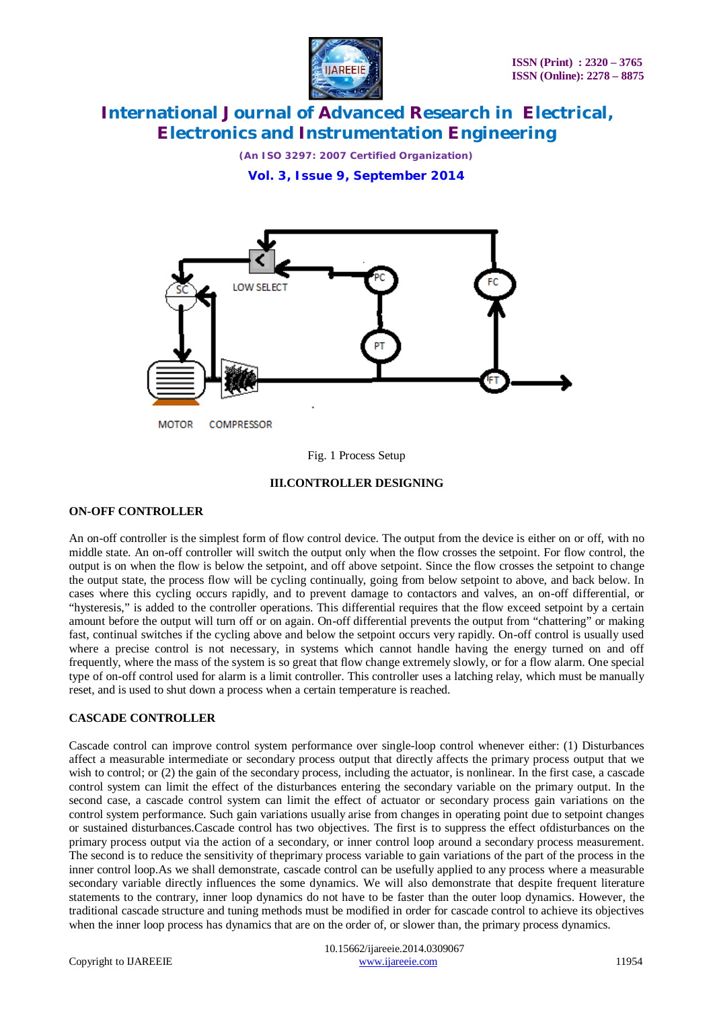

*(An ISO 3297: 2007 Certified Organization)* **Vol. 3, Issue 9, September 2014**



Fig. 1 Process Setup

### **III.CONTROLLER DESIGNING**

#### **ON-OFF CONTROLLER**

An on-off controller is the simplest form of flow control device. The output from the device is either on or off, with no middle state. An on-off controller will switch the output only when the flow crosses the setpoint. For flow control, the output is on when the flow is below the setpoint, and off above setpoint. Since the flow crosses the setpoint to change the output state, the process flow will be cycling continually, going from below setpoint to above, and back below. In cases where this cycling occurs rapidly, and to prevent damage to contactors and valves, an on-off differential, or "hysteresis," is added to the controller operations. This differential requires that the flow exceed setpoint by a certain amount before the output will turn off or on again. On-off differential prevents the output from "chattering" or making fast, continual switches if the cycling above and below the setpoint occurs very rapidly. On-off control is usually used where a precise control is not necessary, in systems which cannot handle having the energy turned on and off frequently, where the mass of the system is so great that flow change extremely slowly, or for a flow alarm. One special type of on-off control used for alarm is a limit controller. This controller uses a latching relay, which must be manually reset, and is used to shut down a process when a certain temperature is reached.

#### **CASCADE CONTROLLER**

Cascade control can improve control system performance over single-loop control whenever either: (1) Disturbances affect a measurable intermediate or secondary process output that directly affects the primary process output that we wish to control; or (2) the gain of the secondary process, including the actuator, is nonlinear. In the first case, a cascade control system can limit the effect of the disturbances entering the secondary variable on the primary output. In the second case, a cascade control system can limit the effect of actuator or secondary process gain variations on the control system performance. Such gain variations usually arise from changes in operating point due to setpoint changes or sustained disturbances.Cascade control has two objectives. The first is to suppress the effect ofdisturbances on the primary process output via the action of a secondary, or inner control loop around a secondary process measurement. The second is to reduce the sensitivity of theprimary process variable to gain variations of the part of the process in the inner control loop.As we shall demonstrate, cascade control can be usefully applied to any process where a measurable secondary variable directly influences the some dynamics. We will also demonstrate that despite frequent literature statements to the contrary, inner loop dynamics do not have to be faster than the outer loop dynamics. However, the traditional cascade structure and tuning methods must be modified in order for cascade control to achieve its objectives when the inner loop process has dynamics that are on the order of, or slower than, the primary process dynamics.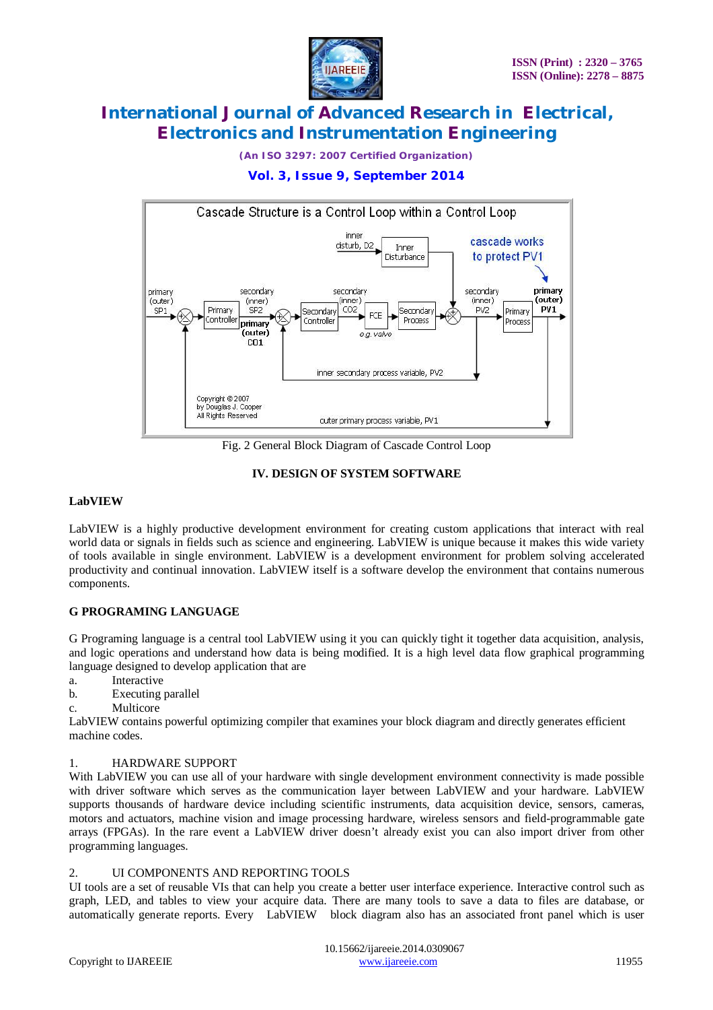

*(An ISO 3297: 2007 Certified Organization)*

# **Vol. 3, Issue 9, September 2014**



Fig. 2 General Block Diagram of Cascade Control Loop

### **IV. DESIGN OF SYSTEM SOFTWARE**

### **LabVIEW**

LabVIEW is a highly productive development environment for creating custom applications that interact with real world data or signals in fields such as science and engineering. LabVIEW is unique because it makes this wide variety of tools available in single environment. LabVIEW is a development environment for problem solving accelerated productivity and continual innovation. LabVIEW itself is a software develop the environment that contains numerous components.

# **G PROGRAMING LANGUAGE**

G Programing language is a central tool LabVIEW using it you can quickly tight it together data acquisition, analysis, and logic operations and understand how data is being modified. It is a high level data flow graphical programming language designed to develop application that are

- a. Interactive
- b. Executing parallel
- c. Multicore

LabVIEW contains powerful optimizing compiler that examines your block diagram and directly generates efficient machine codes.

#### 1. HARDWARE SUPPORT

With LabVIEW you can use all of your hardware with single development environment connectivity is made possible with driver software which serves as the communication layer between LabVIEW and your hardware. LabVIEW supports thousands of hardware device including scientific instruments, data acquisition device, sensors, cameras, motors and actuators, machine vision and image processing hardware, wireless sensors and field-programmable gate arrays (FPGAs). In the rare event a LabVIEW driver doesn't already exist you can also import driver from other programming languages.

#### 2. UI COMPONENTS AND REPORTING TOOLS

UI tools are a set of reusable VIs that can help you create a better user interface experience. Interactive control such as graph, LED, and tables to view your acquire data. There are many tools to save a data to files are database, or automatically generate reports. Every LabVIEW block diagram also has an associated front panel which is user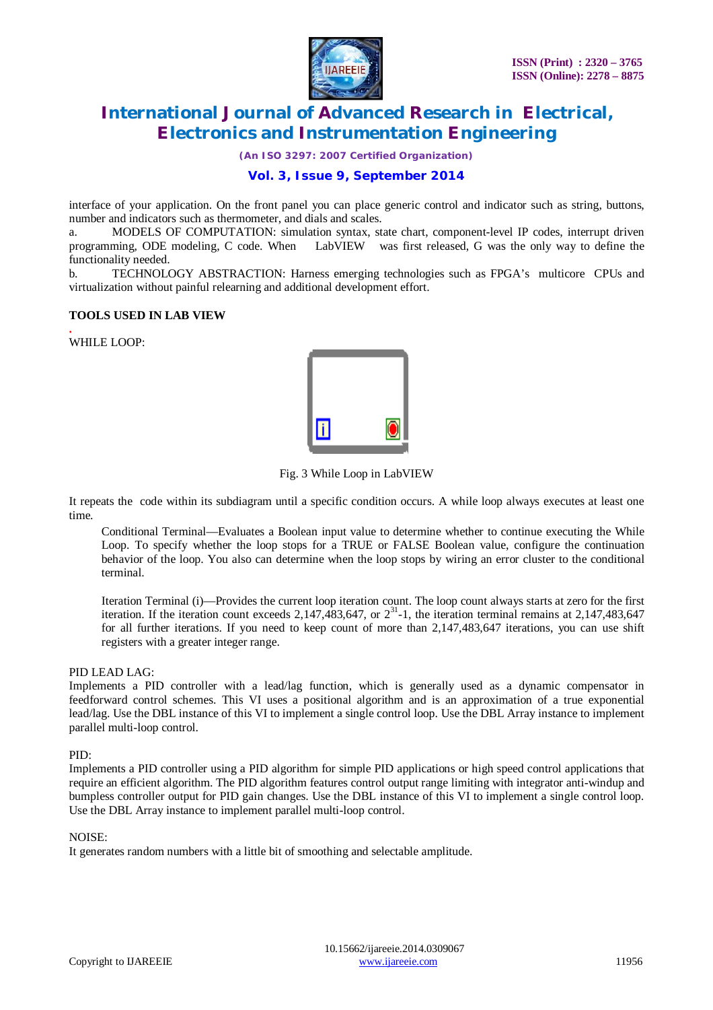

*(An ISO 3297: 2007 Certified Organization)*

### **Vol. 3, Issue 9, September 2014**

interface of your application. On the front panel you can place generic control and indicator such as string, buttons, number and indicators such as thermometer, and dials and scales.

a. MODELS OF COMPUTATION: simulation syntax, state chart, component-level IP codes, interrupt driven programming, ODE modeling, C code. When LabVIEW was first released, G was the only way to define the functionality needed.

b. TECHNOLOGY ABSTRACTION: Harness emerging technologies such as FPGA's multicore CPUs and virtualization without painful relearning and additional development effort.

#### **TOOLS USED IN LAB VIEW**

**.** WHILE LOOP:



Fig. 3 While Loop in LabVIEW

It repeats the code within its subdiagram until a specific condition occurs. A while loop always executes at least one time.

Conditional Terminal—Evaluates a Boolean input value to determine whether to continue executing the While Loop. To specify whether the loop stops for a TRUE or FALSE Boolean value, configure the continuation behavior of the loop. You also can determine when the loop stops by wiring an error cluster to the conditional terminal.

Iteration Terminal (i)—Provides the current loop iteration count. The loop count always starts at zero for the first iteration. If the iteration count exceeds 2,147,483,647, or  $2^{31}$ -1, the iteration terminal remains at 2,147,483,647 for all further iterations. If you need to keep count of more than 2,147,483,647 iterations, you can use shift registers with a greater integer range.

#### PID LEAD LAG:

Implements a PID controller with a lead/lag function, which is generally used as a dynamic compensator in feedforward control schemes. This VI uses a positional algorithm and is an approximation of a true exponential lead/lag. Use the DBL instance of this VI to implement a single control loop. Use the DBL Array instance to implement parallel multi-loop control.

#### PID:

Implements a PID controller using a PID algorithm for simple PID applications or high speed control applications that require an efficient algorithm. The PID algorithm features control output range limiting with integrator anti-windup and bumpless controller output for PID gain changes. Use the DBL instance of this VI to implement a single control loop. Use the DBL Array instance to implement parallel multi-loop control.

#### NOISE:

It generates random numbers with a little bit of smoothing and selectable amplitude.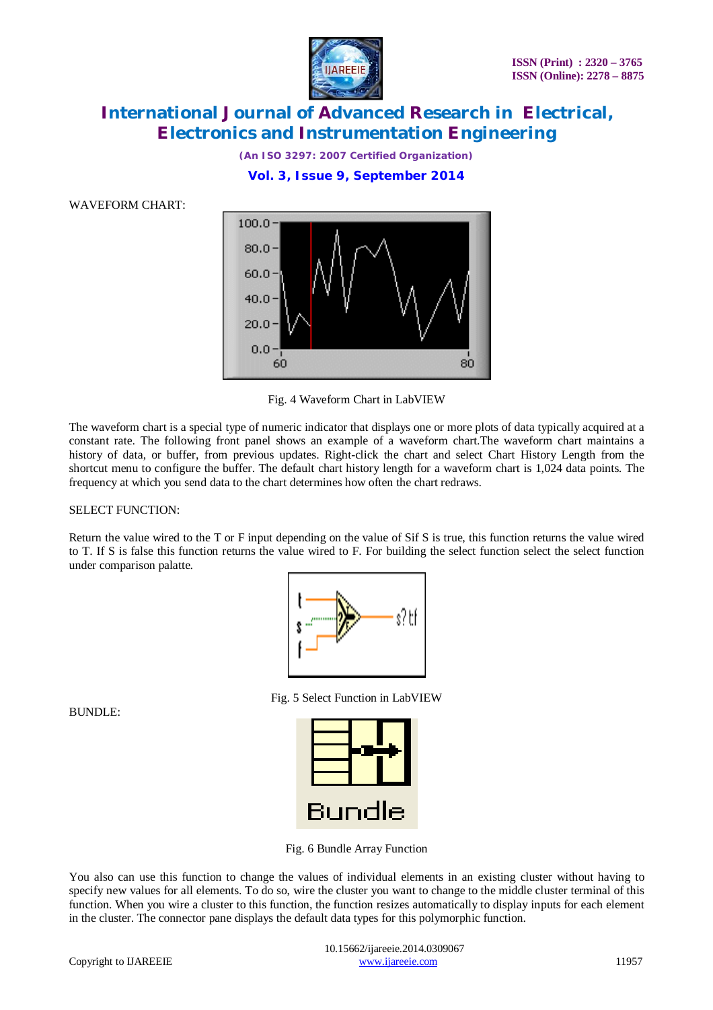

*(An ISO 3297: 2007 Certified Organization)* **Vol. 3, Issue 9, September 2014**

WAVEFORM CHART:



Fig. 4 Waveform Chart in LabVIEW

The waveform chart is a special type of numeric indicator that displays one or more plots of data typically acquired at a constant rate. The following front panel shows an example of a waveform chart.The waveform chart maintains a history of data, or buffer, from previous updates. Right-click the chart and select Chart History Length from the shortcut menu to configure the buffer. The default chart history length for a waveform chart is 1,024 data points. The frequency at which you send data to the chart determines how often the chart redraws.

#### SELECT FUNCTION:

Return the value wired to the T or F input depending on the value of Sif S is true, this function returns the value wired to T. If S is false this function returns the value wired to F. For building the select function select the select function under comparison palatte.



Fig. 5 Select Function in LabVIEW

| Bundle |  |  |  |
|--------|--|--|--|

Fig. 6 Bundle Array Function

You also can use this function to change the values of individual elements in an existing cluster without having to specify new values for all elements. To do so, wire the cluster you want to change to the middle cluster terminal of this function. When you wire a cluster to this function, the function resizes automatically to display inputs for each element in the cluster. The connector pane displays the default data types for this polymorphic function.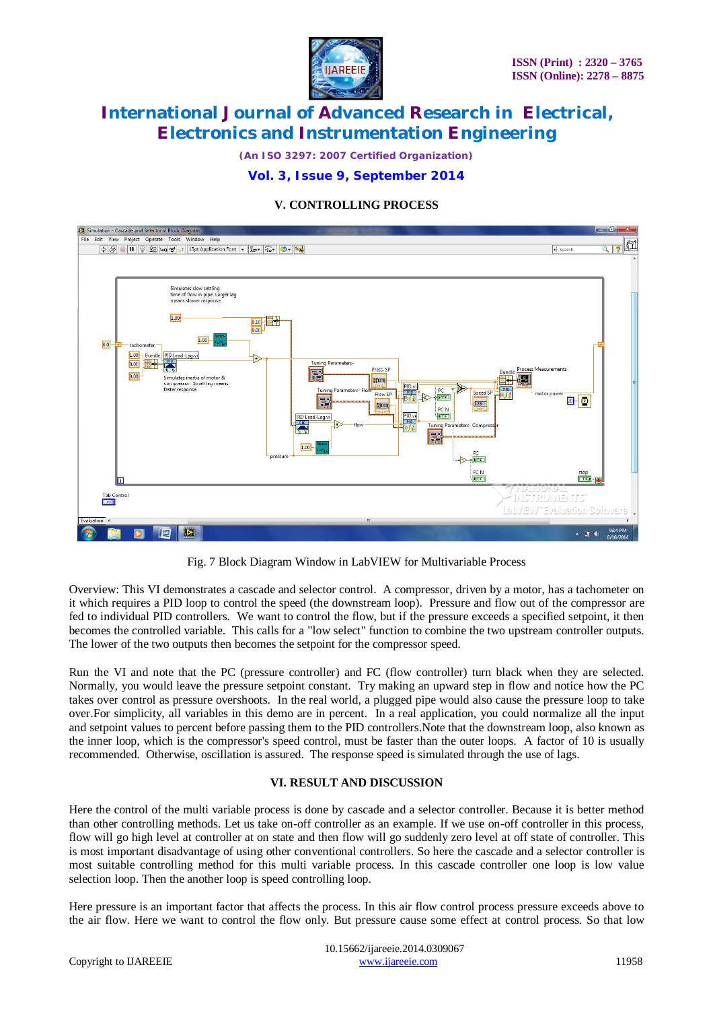

*(An ISO 3297: 2007 Certified Organization)*

### **Vol. 3, Issue 9, September 2014**

### **V. CONTROLLING PROCESS**



Fig. 7 Block Diagram Window in LabVIEW for Multivariable Process

Overview: This VI demonstrates a cascade and selector control. A compressor, driven by a motor, has a tachometer on it which requires a PID loop to control the speed (the downstream loop). Pressure and flow out of the compressor are fed to individual PID controllers. We want to control the flow, but if the pressure exceeds a specified setpoint, it then becomes the controlled variable. This calls for a "low select" function to combine the two upstream controller outputs. The lower of the two outputs then becomes the setpoint for the compressor speed.

Run the VI and note that the PC (pressure controller) and FC (flow controller) turn black when they are selected. Normally, you would leave the pressure setpoint constant. Try making an upward step in flow and notice how the PC takes over control as pressure overshoots. In the real world, a plugged pipe would also cause the pressure loop to take over.For simplicity, all variables in this demo are in percent. In a real application, you could normalize all the input and setpoint values to percent before passing them to the PID controllers.Note that the downstream loop, also known as the inner loop, which is the compressor's speed control, must be faster than the outer loops. A factor of 10 is usually recommended. Otherwise, oscillation is assured. The response speed is simulated through the use of lags.

# **VI. RESULT AND DISCUSSION**

Here the control of the multi variable process is done by cascade and a selector controller. Because it is better method than other controlling methods. Let us take on-off controller as an example. If we use on-off controller in this process, flow will go high level at controller at on state and then flow will go suddenly zero level at off state of controller. This is most important disadvantage of using other conventional controllers. So here the cascade and a selector controller is most suitable controlling method for this multi variable process. In this cascade controller one loop is low value selection loop. Then the another loop is speed controlling loop.

Here pressure is an important factor that affects the process. In this air flow control process pressure exceeds above to the air flow. Here we want to control the flow only. But pressure cause some effect at control process. So that low